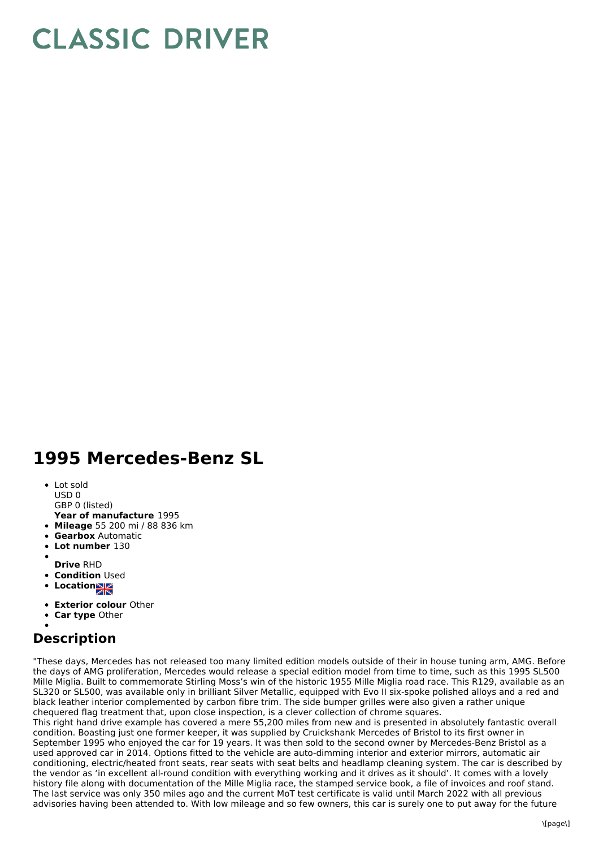## **CLASSIC DRIVER**

## **1995 Mercedes-Benz SL**

- Lot sold USD 0
- GBP 0 (listed)
- **Year of manufacture** 1995
- **Mileage** 55 200 mi / 88 836 km
- **Gearbox** Automatic
- **Lot number** 130
- 
- **Drive** RHD
- **Condition Used**
- **Location**
- **Exterior colour** Other
- **Car type** Other

## **Description**

"These days, Mercedes has not released too many limited edition models outside of their in house tuning arm, AMG. Before the days of AMG proliferation, Mercedes would release a special edition model from time to time, such as this 1995 SL500 Mille Miglia. Built to commemorate Stirling Moss's win of the historic 1955 Mille Miglia road race. This R129, available as an SL320 or SL500, was available only in brilliant Silver Metallic, equipped with Evo II six-spoke polished alloys and a red and black leather interior complemented by carbon fibre trim. The side bumper grilles were also given a rather unique chequered flag treatment that, upon close inspection, is a clever collection of chrome squares.

This right hand drive example has covered a mere 55,200 miles from new and is presented in absolutely fantastic overall condition. Boasting just one former keeper, it was supplied by Cruickshank Mercedes of Bristol to its first owner in September 1995 who enjoyed the car for 19 years. It was then sold to the second owner by Mercedes-Benz Bristol as a used approved car in 2014. Options fitted to the vehicle are auto-dimming interior and exterior mirrors, automatic air conditioning, electric/heated front seats, rear seats with seat belts and headlamp cleaning system. The car is described by the vendor as 'in excellent all-round condition with everything working and it drives as it should'. It comes with a lovely history file along with documentation of the Mille Miglia race, the stamped service book, a file of invoices and roof stand. The last service was only 350 miles ago and the current MoT test certificate is valid until March 2022 with all previous advisories having been attended to. With low mileage and so few owners, this car is surely one to put away for the future